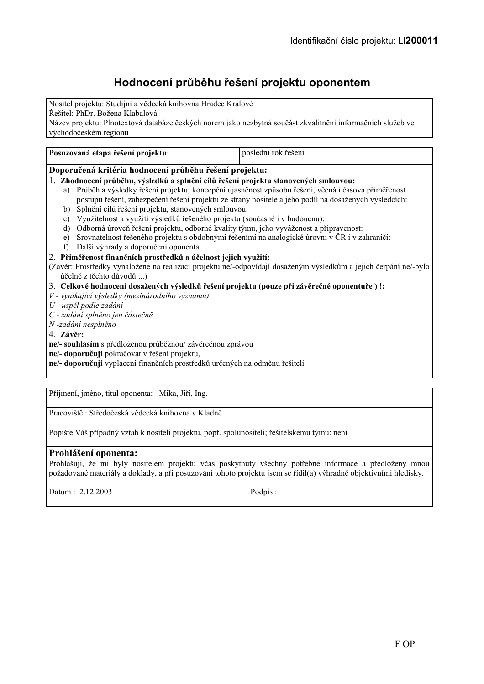# Hodnocení průběhu řešení projektu oponentem

Nositel projektu: Studijní a vědecká knihovna Hradec Králové Řešitel: PhDr. Božena Klabalová Název projektu: Plnotextová databáze českých norem jako nezbytná součást zkvalitnění informačních služeb ve východočeském regionu

| Posuzovaná etapa řešení projektu:                                                                                | poslední rok řešení |
|------------------------------------------------------------------------------------------------------------------|---------------------|
| Doporučená kritéria hodnocení průběhu řešení projektu:                                                           |                     |
| 1. Zhodnocení průběhu, výsledků a splnění cílů řešení projektu stanovených smlouvou:                             |                     |
| a) Průběh a výsledky řešení projektu; koncepční ujasněnost způsobu řešení, věcná i časová přiměřenost            |                     |
| postupu řešení, zabezpečení řešení projektu ze strany nositele a jeho podíl na dosažených výsledcích:            |                     |
| Splnění cílů řešení projektu, stanovených smlouvou:<br>b)                                                        |                     |
| Využitelnost a využití výsledků řešeného projektu (současné i v budoucnu):<br>$\mathbf{c}$                       |                     |
| Odborná úroveň řešení projektu, odborné kvality týmu, jeho vyváženost a připravenost:<br>d)                      |                     |
| Srovnatelnost řešeného projektu s obdobnými řešeními na analogické úrovni v ČR i v zahraničí:<br>e)              |                     |
| Další výhrady a doporučení oponenta.<br>f)                                                                       |                     |
| 2. Přiměřenost finančních prostředků a účelnost jejich využití:                                                  |                     |
| (Závěr: Prostředky vynaložené na realizaci projektu ne/-odpovídají dosaženým výsledkům a jejich čerpání ne/-bylo |                     |
| účelné z těchto důvodů:)                                                                                         |                     |
| 3. Celkové hodnocení dosažených výsledků řešení projektu (pouze při závěrečné oponentuře ) !:                    |                     |
| V - vynikající výsledky (mezinárodního významu)                                                                  |                     |
| U - uspěl podle zadání                                                                                           |                     |
| C - zadání splněno jen částečně                                                                                  |                     |
| N-zadání nesplněno                                                                                               |                     |
| 4. Závěr:                                                                                                        |                     |
| ne/- souhlasím s předloženou průběžnou/ závěrečnou zprávou                                                       |                     |
| ne/- doporučuji pokračovat v řešení projektu,                                                                    |                     |
| ne/- doporučuji vyplacení finančních prostředků určených na odměnu řešiteli                                      |                     |
|                                                                                                                  |                     |
|                                                                                                                  |                     |
| Příjmení, jméno, titul oponenta: Mika, Jiří, Ing.                                                                |                     |

Pracoviště: Středočeská vědecká knihovna v Kladně

Popište Váš případný vztah k nositeli projektu, popř. spolunositeli; řešitelskému týmu: není

## Prohlášení oponenta:

Prohlašuji, že mi byly nositelem projektu včas poskytnuty všechny potřebné informace a předloženy mnou požadované materiály a doklady, a při posuzování tohoto projektu jsem se řídil(a) výhradně objektivními hledisky.

Datum: 2.12.2003

Podpis: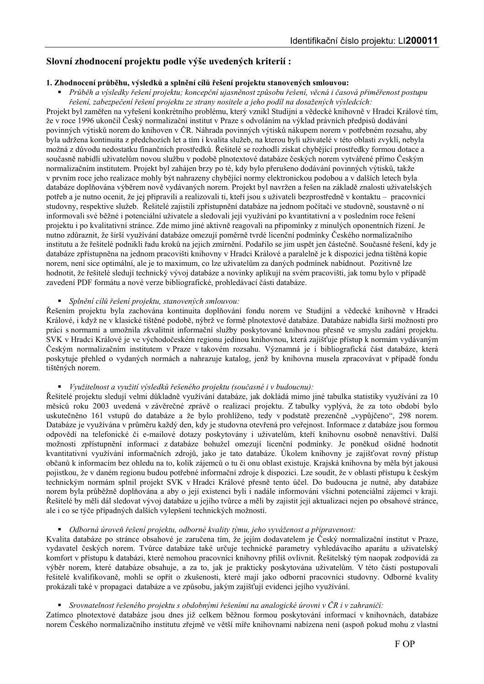## Slovní zhodnocení projektu podle výše uvedených kriterií:

## 1. Zhodnocení průběhu, výsledků a splnění cílů řešení projektu stanovených smlouvou:

Průběh a výsledky řešení projektu; koncepční ujasněnost způsobu řešení, věcná i časová přiměřenost postupu řešení, zabezpečení řešení projektu ze strany nositele a jeho podíl na dosažených výsledcích:

Projekt byl zaměřen na vyřešení konkrétního problému, který vznikl Studijní a vědecké knihovně v Hradci Králové tím, že v roce 1996 ukončil Český normalizační institut v Praze s odvoláním na výklad právních předpisů dodávání povinných výtisků norem do knihoven v ČR. Náhrada povinných výtisků nákupem norem v potřebném rozsahu, aby byla udržena kontinuita z předchozích let a tím i kvalita služeb, na kterou byli uživatelé v této oblasti zvyklí, nebyla možná z důvodu nedostatku finančních prostředků. Řešitelé se rozhodli získat chybějící prostředky formou dotace a současně nabídli uživatelům novou službu v podobě plnotextové databáze českých norem vytvářené přímo Českým normalizačním institutem. Projekt byl zahájen brzy po té, kdy bylo přerušeno dodávání povinných výtisků, takže v prvním roce jeho realizace mohly být nahrazeny chybějící normy elektronickou podobou a v dalších letech byla databáze doplňována výběrem nově vydávaných norem. Projekt byl navržen a řešen na základě znalosti uživatelských potřeb a je nutno ocenit, že jej připravili a realizovali ti, kteří jsou s uživateli bezprostředně v kontaktu – pracovníci studovny, respektive služeb. Řešitelé zajistili zpřístupnění databáze na jednom počítači ve studovně, soustavně o ní informovali své běžné i potenciální uživatele a sledovali její využívání po kvantitativní a v posledním roce řešení projektu i po kvalitativní stránce. Zde mimo jiné aktivně reagovali na připomínky z minulých oponentních řízení. Je nutno zdůraznit, že širší využívání databáze omezují poměrně tvrdé licenční podmínky Českého normalizačního institutu a že řešitelé podnikli řadu kroků na jejich zmírnění. Podařilo se jim uspět jen částečně. Současné řešení, kdy je databáze zpřístupněna na jednom pracovišti knihovny v Hradci Králové a paralelně je k dispozici jedna tištěná kopie norem, není sice optimální, ale je to maximum, co lze uživatelům za daných podmínek nabídnout. Pozitivně lze hodnotit, že řešitelé sledují technický vývoj databáze a novinky aplikují na svém pracovišti, jak tomu bylo v případě zavedení PDF formátu a nové verze bibliografické, prohledávací části databáze.

## • Splnění cílů řešení projektu, stanovených smlouvou:

Řešením projektu byla zachována kontinuita doplňování fondu norem ve Studijní a vědecké knihovně v Hradci Králové, i když ne v klasické tištěné podobě, nýbrž ve formě plnotextové databáze. Databáze nabídla širší možnosti pro práci s normami a umožnila zkvalitnit informační služby poskytované knihovnou přesně ve smyslu zadání projektu. SVK v Hradci Králové je ve východočeském regionu jedinou knihovnou, která zajišťuje přístup k normám vydávaným Českým normalizačním institutem v Praze v takovém rozsahu. Významná je i bibliografická část databáze, která poskytuje přehled o vydaných normách a nahrazuje katalog, jenž by knihovna musela zpracovávat v případě fondu tištěných norem.

## • Využitelnost a využití výsledků řešeného projektu (současné i v budoucnu):

Řešitelé projektu sledují velmi důkladně využívání databáze, jak dokládá mimo jiné tabulka statistiky využívání za 10 měsíců roku 2003 uvedená v závěrečné zprávě o realizaci projektu. Z tabulky vyplývá, že za toto období bylo uskutečněno 161 vstupů do databáze a že bylo prohlíženo, tedy v podstatě prezenčně "vypůjčeno", 298 norem. Databáze je využívána v průměru každý den, kdy je studovna otevřená pro veřejnost. Informace z databáze jsou formou odpovědí na telefonické či e-mailové dotazy poskytovány i uživatelům, kteří knihovnu osobně nenavštíví. Další možnosti zpřístupnění informací z databáze bohužel omezují licenční podmínky. Je poněkud ošidné hodnotit kvantitativní využívání informačních zdrojů, jako je tato databáze. Ukolem knihovny je zajišťovat rovný přístup občanů k informacím bez ohledu na to, kolik zájemců o tu či onu oblast existuje. Krajská knihovna by měla být jakousi pojistkou, že v daném regionu budou potřebné informační zdroje k dispozici. Lze soudit, že v oblasti přístupu k českým technickým normám splnil projekt SVK v Hradci Králové přesně tento účel. Do budoucna je nutné, aby databáze norem byla průběžně doplňována a aby o její existenci byli i nadále informováni všichni potenciální zájemci v kraji. Řešitelé by měli dál sledovat vývoj databáze u jejího tvůrce a měli by zajistit její aktualizaci nejen po obsahové stránce, ale i co se týče případných dalších vylepšení technických možností.

#### • Odborná úroveň řešení projektu, odborné kvality týmu, jeho vyváženost a připravenost:

Kvalita databáze po stránce obsahové je zaručena tím, že jejím dodavatelem je Český normalizační institut v Praze, vydavatel českých norem. Tvůrce databáze také určuje technické parametry vyhledávacího aparátu a uživatelský komfort v přístupu k databázi, které nemohou pracovníci knihovny příliš ovlivnit. Řešitelský tým naopak zodpovídá za výběr norem, které databáze obsahuje, a za to, jak je prakticky poskytována uživatelům. V této části postupovali řešitelé kvalifikovaně, mohli se opřít o zkušenosti, které mají jako odborní pracovníci studovny. Odborné kvality prokázali také v propagaci databáze a ve způsobu, jakým zajišťují evidenci jejího využívání.

#### **•** Srovnatelnost řešeného projektu s obdobnými řešeními na analogické úrovni v ČR i v zahraničí:

Zatímco plnotextové databáze jsou dnes již celkem běžnou formou poskytování informací v knihovnách, databáze norem Českého normalizačního institutu zřejmě ve větší míře knihovnami nabízena není (aspoň pokud mohu z vlastní